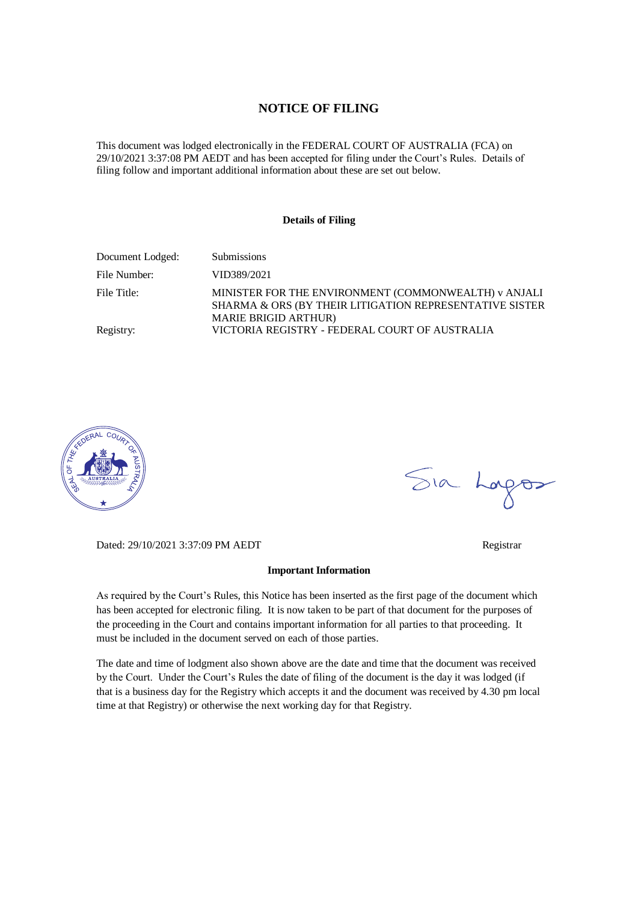#### **NOTICE OF FILING**

This document was lodged electronically in the FEDERAL COURT OF AUSTRALIA (FCA) on 29/10/2021 3:37:08 PM AEDT and has been accepted for filing under the Court's Rules. Details of filing follow and important additional information about these are set out below.

#### **Details of Filing**

| Document Lodged: | <b>Submissions</b>                                                                                                                             |
|------------------|------------------------------------------------------------------------------------------------------------------------------------------------|
| File Number:     | VID389/2021                                                                                                                                    |
| File Title:      | MINISTER FOR THE ENVIRONMENT (COMMONWEALTH) v ANJALI<br>SHARMA & ORS (BY THEIR LITIGATION REPRESENTATIVE SISTER<br><b>MARIE BRIGID ARTHUR)</b> |
| Registry:        | VICTORIA REGISTRY - FEDERAL COURT OF AUSTRALIA                                                                                                 |



Sia Lorgos

Dated: 29/10/2021 3:37:09 PM AEDT Registrar

## **Important Information**

As required by the Court's Rules, this Notice has been inserted as the first page of the document which has been accepted for electronic filing. It is now taken to be part of that document for the purposes of the proceeding in the Court and contains important information for all parties to that proceeding. It must be included in the document served on each of those parties.

The date and time of lodgment also shown above are the date and time that the document was received by the Court. Under the Court's Rules the date of filing of the document is the day it was lodged (if that is a business day for the Registry which accepts it and the document was received by 4.30 pm local time at that Registry) or otherwise the next working day for that Registry.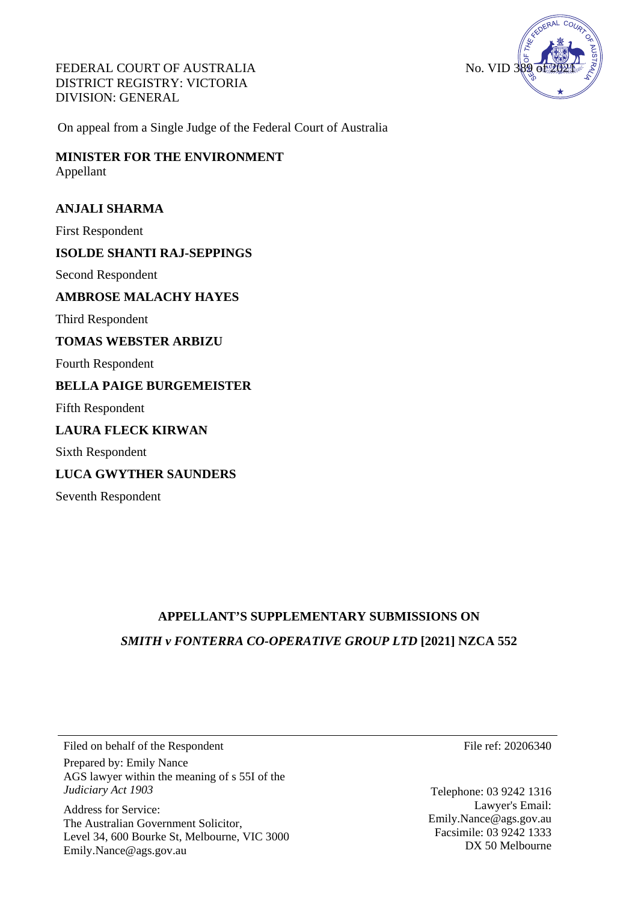FEDERAL COURT OF AUSTRALIA DISTRICT REGISTRY: VICTORIA DIVISION: GENERAL



On appeal from a Single Judge of the Federal Court of Australia

**MINISTER FOR THE ENVIRONMENT**  Appellant

#### **ANJALI SHARMA**

First Respondent

### **ISOLDE SHANTI RAJ-SEPPINGS**

Second Respondent

**AMBROSE MALACHY HAYES**

Third Respondent

#### **TOMAS WEBSTER ARBIZU**

Fourth Respondent

### **BELLA PAIGE BURGEMEISTER**

Fifth Respondent

### **LAURA FLECK KIRWAN**

Sixth Respondent

#### **LUCA GWYTHER SAUNDERS**

Seventh Respondent

# **APPELLANT'S SUPPLEMENTARY SUBMISSIONS ON** *SMITH v FONTERRA CO-OPERATIVE GROUP LTD* **[2021] NZCA 552**

Filed on behalf of the Respondent Prepared by: Emily Nance

AGS lawyer within the meaning of s 55I of the *Judiciary Act 1903*

Address for Service: The Australian Government Solicitor, Level 34, 600 Bourke St, Melbourne, VIC 3000 Emily.Nance@ags.gov.au

File ref: 20206340

Telephone: 03 9242 1316 Lawyer's Email: Emily.Nance@ags.gov.au Facsimile: 03 9242 1333 DX 50 Melbourne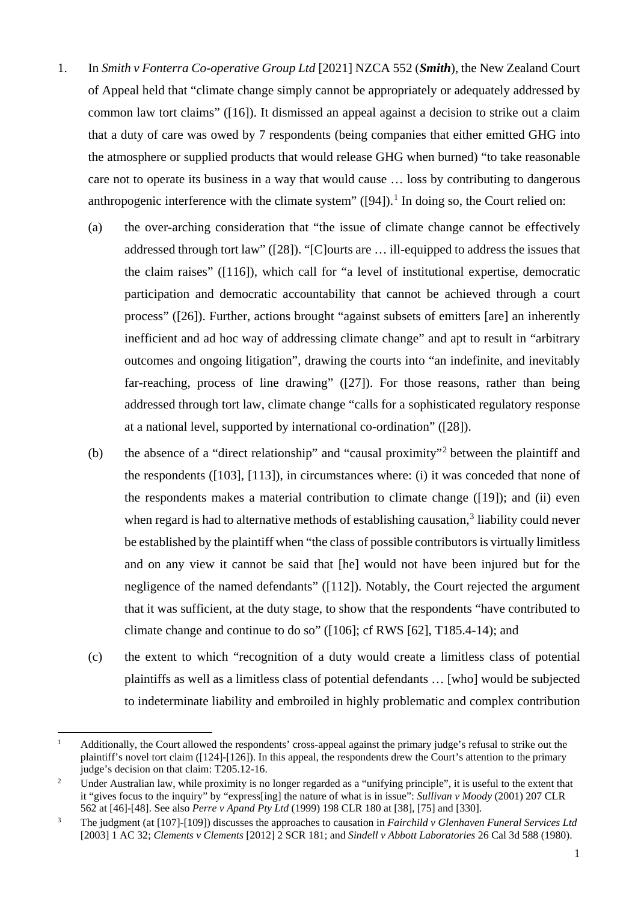- 1. In *Smith v Fonterra Co-operative Group Ltd* [2021] NZCA 552 (*Smith*), the New Zealand Court of Appeal held that "climate change simply cannot be appropriately or adequately addressed by common law tort claims" ([16]). It dismissed an appeal against a decision to strike out a claim that a duty of care was owed by 7 respondents (being companies that either emitted GHG into the atmosphere or supplied products that would release GHG when burned) "to take reasonable care not to operate its business in a way that would cause … loss by contributing to dangerous anthropogenic interference with the climate system" ([94]).<sup>[1](#page-2-0)</sup> In doing so, the Court relied on:
	- (a) the over-arching consideration that "the issue of climate change cannot be effectively addressed through tort law" ([28]). "[C]ourts are … ill-equipped to address the issues that the claim raises" ([116]), which call for "a level of institutional expertise, democratic participation and democratic accountability that cannot be achieved through a court process" ([26]). Further, actions brought "against subsets of emitters [are] an inherently inefficient and ad hoc way of addressing climate change" and apt to result in "arbitrary outcomes and ongoing litigation", drawing the courts into "an indefinite, and inevitably far-reaching, process of line drawing" ([27]). For those reasons, rather than being addressed through tort law, climate change "calls for a sophisticated regulatory response at a national level, supported by international co-ordination" ([28]).
	- (b) the absence of a "direct relationship" and "causal proximity"[2](#page-2-1) between the plaintiff and the respondents ([103], [113]), in circumstances where: (i) it was conceded that none of the respondents makes a material contribution to climate change ([19]); and (ii) even when regard is had to alternative methods of establishing causation,<sup>[3](#page-2-2)</sup> liability could never be established by the plaintiff when "the class of possible contributors is virtually limitless and on any view it cannot be said that [he] would not have been injured but for the negligence of the named defendants" ([112]). Notably, the Court rejected the argument that it was sufficient, at the duty stage, to show that the respondents "have contributed to climate change and continue to do so" ([106]; cf RWS [62], T185.4-14); and
	- (c) the extent to which "recognition of a duty would create a limitless class of potential plaintiffs as well as a limitless class of potential defendants … [who] would be subjected to indeterminate liability and embroiled in highly problematic and complex contribution

 $\overline{a}$ 

<span id="page-2-0"></span><sup>1</sup> Additionally, the Court allowed the respondents' cross-appeal against the primary judge's refusal to strike out the plaintiff's novel tort claim ( $[124]$ - $[126]$ ). In this appeal, the respondents drew the Court's attention to the primary judge's decision on that claim: T205.12-16.

<span id="page-2-1"></span><sup>&</sup>lt;sup>2</sup> Under Australian law, while proximity is no longer regarded as a "unifying principle", it is useful to the extent that it "gives focus to the inquiry" by "express[ing] the nature of what is in issue": *Sullivan v Moody* (2001) 207 CLR 562 at [46]-[48]. See also *Perre v Apand Pty Ltd* (1999) 198 CLR 180 at [38], [75] and [330].

<span id="page-2-2"></span><sup>3</sup> The judgment (at [107]-[109]) discusses the approaches to causation in *Fairchild v Glenhaven Funeral Services Ltd* [2003] 1 AC 32; *Clements v Clements* [2012] 2 SCR 181; and *Sindell v Abbott Laboratories* 26 Cal 3d 588 (1980).